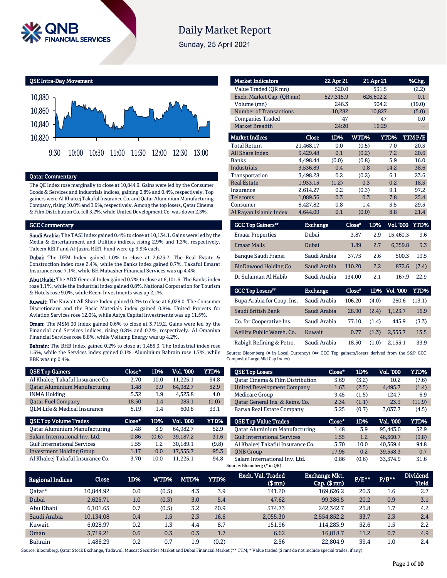

# **Daily Market Report**

Sunday, 25 April 2021



## Qatar Commentary

The QE Index rose marginally to close at 10,844.9. Gains were led by the Consumer Goods & Services and Industrials indices, gaining 0.8% and 0.4%, respectively. Top gainers were Al Khaleej Takaful Insurance Co. and Qatar Aluminium Manufacturing Company, rising 10.0% and 3.9%, respectively. Among the top losers, Qatar Cinema & Film Distribution Co. fell 3.2%, while United Development Co. was down 2.5%.

#### GCC Commentary

Saudi Arabia: The TASI Index gained 0.4% to close at 10,134.1. Gains were led by the Media & Entertainment and Utilities indices, rising 2.9% and 1.3%, respectively. Taleem REIT and Al-Jazira RIET Fund were up 9.9% each.

Dubai: The DFM Index gained 1.0% to close at 2,625.7. The Real Estate & Construction index rose 2.4%, while the Banks index gained 0.7%. Takaful Emarat Insurance rose 7.1%, while BH Mubasher Financial Services was up 4.4%.

Abu Dhabi: The ADX General Index gained 0.7% to close at 6,101.6. The Banks index rose 1.1%, while the Industrial index gained 0.8%. National Corporation for Tourism & Hotels rose 9.0%, while Reem Investments was up 2.1%.

Kuwait: The Kuwait All Share Index gained 0.2% to close at 6,029.0. The Consumer Discretionary and the Basic Materials index gained 0.8%. United Projects for Aviation Services rose 12.0%, while Asiya Capital Investments was up 11.5%.

Oman: The MSM 30 Index gained 0.6% to close at 3,719.2. Gains were led by the Financial and Services indices, rising 0.8% and 0.3%, respectively. Al Omaniya Financial Services rose 8.8%, while Voltamp Energy was up 4.2%.

Bahrain: The BHB Index gained 0.2% to close at 1,486.3. The Industrial index rose 1.6%, while the Services index gained 0.1%. Aluminium Bahrain rose 1.7%, while BBK was up 0.4%.

| <b>QSE Top Gainers</b>               | Close* | 1D%   | <b>Vol. '000</b> | YTD%        |
|--------------------------------------|--------|-------|------------------|-------------|
| Al Khaleej Takaful Insurance Co.     | 3.70   | 10.0  | 11.225.1         | 94.8        |
| <b>Qatar Aluminium Manufacturing</b> | 1.48   | 3.9   | 64.982.7         | 52.9        |
| <b>INMA Holding</b>                  | 5.32   | 1.9   | 4.323.8          | 4.0         |
| <b>Oatar Fuel Company</b>            | 18.50  | 1.4   | 283.1            | (1.0)       |
| OLM Life & Medical Insurance         | 5.19   | 1.4   | 600.8            | 33.1        |
|                                      |        |       |                  |             |
| <b>QSE Top Volume Trades</b>         | Close* | 1D%   | <b>Vol. '000</b> | <b>YTD%</b> |
| <b>Qatar Aluminium Manufacturing</b> | 1.48   | 3.9   | 64.982.7         | 52.9        |
| Salam International Inv. Ltd.        | 0.86   | (0.6) | 39,187.2         | 31.6        |
| <b>Gulf International Services</b>   | 1.55   | 1.2   | 30.189.1         | (9.8)       |
| <b>Investment Holding Group</b>      | 1.17   | 0.0   | 17.355.7         | 95.3        |

| <b>Market Indicators</b>      |                           | 22 Apr 21 |       | 21 Apr 21   | %Chg.  |
|-------------------------------|---------------------------|-----------|-------|-------------|--------|
| Value Traded (OR mn)          |                           | 520.0     |       | 531.5       |        |
|                               | Exch. Market Cap. (QR mn) |           |       | 626,602.2   | 0.1    |
| Volume (mn)                   |                           | 246.3     |       | 304.2       | (19.0) |
| <b>Number of Transactions</b> |                           | 10,282    |       | 10,827      | (5.0)  |
| <b>Companies Traded</b>       |                           | 47        |       | 47          | 0.0    |
| <b>Market Breadth</b>         |                           | 24:20     |       | 16:29       |        |
| <b>Market Indices</b>         | Close                     | 1D%       | WTD%  | <b>YTD%</b> | TTMP/E |
| <b>Total Return</b>           | 21,468.17                 | 0.0       | (0.5) | 7.0         | 20.3   |
| <b>All Share Index</b>        | 3,429.48                  | 0.1       | (0.2) | 7.2         | 20.6   |
| <b>Banks</b>                  | 4,498.44                  | (0.0)     | (0.8) | 5.9         | 16.0   |
| <b>Industrials</b>            | 3.536.89                  | 0.4       | 0.8   | 14.2        | 38.6   |
| Transportation                | 3.498.28                  | 0.2       | (0.2) | 6.1         | 23.6   |
| <b>Real Estate</b>            | 1.933.15                  | (1.2)     | 0.3   | 0.2         | 18.3   |
| Insurance                     | 2.614.27                  | 0.2       | (0.3) | 9.1         | 97.2   |
| Telecoms                      | 1,089.36                  | 0.3       | 0.3   | 7.8         | 25.4   |
| Consumer                      | 8,427.82                  | 0.8       | 1.4   | 3.5         | 29.5   |
| Al Rayan Islamic Index        | 4.644.09                  | 0.1       | (0.0) | 8.8         | 21.4   |

| <b>GCC Top Gainers**</b>    | <b>Exchange</b> | Close* | 1D%   | <b>Vol. '000</b> | YTD%        |
|-----------------------------|-----------------|--------|-------|------------------|-------------|
| <b>Emaar Properties</b>     | Dubai           | 3.87   | 2.9   | 15,460.3         | 9.6         |
| <b>Emaar Malls</b>          | Dubai           | 1.89   | 2.7   | 6,359.8          | 3.3         |
| Banque Saudi Fransi         | Saudi Arabia    | 37.75  | 2.6   | 500.3            | 19.5        |
| <b>BinDawood Holding Co</b> | Saudi Arabia    | 110.20 | 2.2   | 872.6            | (7.4)       |
| Dr Sulaiman Al Habib        | Saudi Arabia    | 134.00 | 2.1   | 167.9            | 22.9        |
| <b>GCC Top Losers</b> "     | <b>Exchange</b> | Close* |       | 1D% Vol. 000     | <b>YTD%</b> |
| Bupa Arabia for Coop. Ins.  | Saudi Arabia    | 106.20 | (4.0) | 260.6            | (13.1)      |
| Saudi British Bank          | Saudi Arabia    | 28.90  | (2.4) | 1,125.7          | 16.9        |
| Co. for Cooperative Ins.    | Saudi Arabia    | 77.10  | (1.4) | 445.9            | (3.3)       |

Rabigh Refining & Petro. Saudi Arabia 18.50 (1.0) 2,155.1 33.9 Source: Bloomberg (# in Local Currency) (## GCC Top gainers/losers derived from the S&P GCC Composite Large Mid Cap Index)

Agility Public Wareh. Co. Kuwait 0.77 (1.3) 2,355.7 13.5

| <b>QSE Top Losers</b>                | Close* | 1D%   | Vol. '000 | YTD%   |
|--------------------------------------|--------|-------|-----------|--------|
| Oatar Cinema & Film Distribution     | 3.69   | (3.2) | 10.2      | (7.6)  |
| <b>United Development Company</b>    | 1.63   | (2.5) | 4.495.7   | (1.4)  |
| <b>Medicare Group</b>                | 9.45   | (1.5) | 124.7     | 6.9    |
| Oatar General Ins. & Reins. Co.      | 2.34   | (1.1) | 23.3      | (11.9) |
| Barwa Real Estate Company            | 3.25   | (0.7) | 3.037.7   | (4.5)  |
|                                      |        |       |           |        |
| <b>QSE Top Value Trades</b>          | Close* | 1D%   | Val. '000 | YTD%   |
| <b>Qatar Aluminium Manufacturing</b> | 1.48   | 3.9   | 95.443.0  | 52.9   |
| <b>Gulf International Services</b>   | 1.55   | 1.2   | 46.360.7  | (9.8)  |
| Al Khaleej Takaful Insurance Co.     | 3.70   | 10.0  | 40.369.4  | 94.8   |
| <b>ONB</b> Group                     | 17.95  | 0.2.  | 39.558.3  | 0.7    |

| <b>Regional Indices</b> | Close     | 1D% | WTD%  | MTD% | <b>YTD%</b> | Exch. Val. Traded<br>$$$ mm $)$ | <b>Exchange Mkt.</b><br>$Cap.$ ( $$mn)$ | $P/E***$ | $P/B**$ | <b>Dividend</b><br><b>Yield</b> |
|-------------------------|-----------|-----|-------|------|-------------|---------------------------------|-----------------------------------------|----------|---------|---------------------------------|
| Oatar*                  | 10.844.92 | 0.0 | (0.5) | 4.3  | 3.9         | 141.20                          | 169,626.2                               | 20.3     | 1.6     | 2.7                             |
| Dubai                   | 2.625.71  | 1.0 | (0.3) | 3.0  | 5.4         | 47.62                           | 99.386.5                                | 20.2     | 0.9     | 3.1                             |
| Abu Dhabi               | 6.101.63  | 0.7 | (0.5) | 3.2  | 20.9        | 374.73                          | 242,342.7                               | 23.8     | 1.7     | 4.2                             |
| Saudi Arabia            | 10,134.08 | 0.4 | 1.5   | 2.3  | 16.6        | 2,055.30                        | 2,554,852.2                             | 33.7     | 2.3     | 2.4                             |
| Kuwait                  | 6.028.97  | 0.2 | 1.3   | 4.4  | 8.7         | 151.96                          | 114.283.9                               | 52.6     | 1.5     | 2.2                             |
| Oman                    | 3.719.21  | 0.6 | 0.3   | 0.3  | 1.7         | 6.62                            | 16.818.7                                | 11.2     | 0.7     | 4.9                             |
| <b>Bahrain</b>          | L.486.29  | 0.2 | 0.7   | 1.9  | (0.2)       | 2.56                            | 22,804.9                                | 39.4     | $1.0\,$ | 2.4                             |

Source: Bloomberg, Qatar Stock Exchange, Tadawul, Muscat Securities Market and Dubai Financial Market (\*\* TTM; \* Value traded (\$ mn) do not include special trades, if any)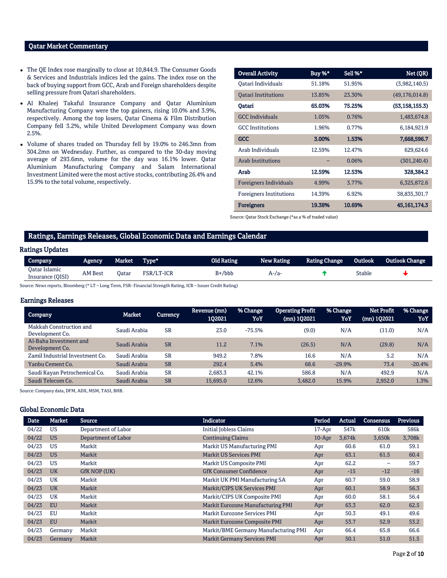## Qatar Market Commentary

- The QE Index rose marginally to close at 10,844.9. The Consumer Goods & Services and Industrials indices led the gains. The index rose on the back of buying support from GCC, Arab and Foreign shareholders despite selling pressure from Qatari shareholders.
- Al Khaleej Takaful Insurance Company and Qatar Aluminium Manufacturing Company were the top gainers, rising 10.0% and 3.9%, respectively. Among the top losers, Qatar Cinema & Film Distribution Company fell 3.2%, while United Development Company was down 2.5%.
- Volume of shares traded on Thursday fell by 19.0% to 246.3mn from 304.2mn on Wednesday. Further, as compared to the 30-day moving average of 293.6mn, volume for the day was 16.1% lower. Qatar Aluminium Manufacturing Company and Salam International Investment Limited were the most active stocks, contributing 26.4% and 15.9% to the total volume, respectively.

| <b>Overall Activity</b>        | Buy %* | Sell %* | Net (QR)         |
|--------------------------------|--------|---------|------------------|
| Qatari Individuals             | 51.18% | 51.95%  | (3,982,140.5)    |
| <b>Oatari Institutions</b>     | 13.85% | 23.30%  | (49, 176, 014.8) |
| Oatari                         | 65.03% | 75.25%  | (53, 158, 155.3) |
| <b>GCC</b> Individuals         | 1.05%  | 0.76%   | 1,483,674.8      |
| <b>GCC</b> Institutions        | 1.96%  | 0.77%   | 6,184,921.9      |
| GCC                            | 3.00%  | 1.53%   | 7,668,596.7      |
| Arab Individuals               | 12.59% | 12.47%  | 629,624.6        |
| <b>Arab Institutions</b>       |        | 0.06%   | (301, 240.4)     |
| Arab                           | 12.59% | 12.53%  | 328,384.2        |
| Foreigners Individuals         | 4.99%  | 3.77%   | 6,325,872.6      |
| <b>Foreigners Institutions</b> | 14.39% | 6.92%   | 38,835,301.7     |
| <b>Foreigners</b>              | 19.38% | 10.69%  | 45, 161, 174. 3  |

Source: Qatar Stock Exchange (\*as a % of traded value)

## Ratings, Earnings Releases, Global Economic Data and Earnings Calendar

### Ratings Updates

| Company                           | Agencv         | Market . | Type*      | Old Rating | New Rating | <b>Rating Change</b> | Outlook | <b>Outlook Change</b> |
|-----------------------------------|----------------|----------|------------|------------|------------|----------------------|---------|-----------------------|
| Oatar Islamic<br>Insurance (QISI) | <b>AM Best</b> | Jatar    | FSR/LT-ICR | B+/bbb     | А-/а       |                      | Stable  |                       |

Source: News reports, Bloomberg (\* LT – Long Term, FSR- Financial Strength Rating, ICR – Issuer Credit Rating)

## Earnings Releases

| <b>Company</b>                             | <b>Market</b> | <b>Currency</b> | Revenue (mn)<br>102021 | % Change<br>YoY | <b>Operating Profit</b><br>$(mn)$ 102021 | % Change<br>YoY. | Net Profit<br>(mn) 1Q2021 | % Change<br>YoY |
|--------------------------------------------|---------------|-----------------|------------------------|-----------------|------------------------------------------|------------------|---------------------------|-----------------|
| Makkah Construction and<br>Development Co. | Saudi Arabia  | <b>SR</b>       | 23.0                   | $-75.5%$        | (9.0)                                    | N/A              | (11.0)                    | N/A             |
| Al-Baha Investment and<br>Development Co.  | Saudi Arabia  | <b>SR</b>       | 11.2                   | 7.1%            | (26.5)                                   | N/A              | (29.8)                    | N/A             |
| Zamil Industrial Investment Co.            | Saudi Arabia  | <b>SR</b>       | 949.2                  | 7.8%            | 16.6                                     | N/A              | 5.2                       | N/A             |
| Yanbu Cement Co.                           | Saudi Arabia  | <b>SR</b>       | 292.4                  | 5.4%            | 68.6                                     | $-29.9%$         | 73.4                      | $-20.4%$        |
| Saudi Kayan Petrochemical Co.              | Saudi Arabia  | <b>SR</b>       | 2.683.3                | 42.1%           | 586.8                                    | N/A              | 492.9                     | N/A             |
| Saudi Telecom Co.                          | Saudi Arabia  | <b>SR</b>       | 15.695.0               | 12.6%           | 3.482.0                                  | 15.9%            | 2.952.0                   | 1.3%            |

Source: Company data, DFM, ADX, MSM, TASI, BHB.

## Global Economic Data

| <b>Date</b> | <b>Market</b> | <b>Source</b>       | <b>Indicator</b>                     | Period    | Actual           | Consensus        | <b>Previous</b> |
|-------------|---------------|---------------------|--------------------------------------|-----------|------------------|------------------|-----------------|
| 04/22       | <b>US</b>     | Department of Labor | <b>Initial Jobless Claims</b>        | $17$ -Apr | 547 <sub>k</sub> | 610 <sub>k</sub> | 586k            |
| 04/22       | <b>US</b>     | Department of Labor | <b>Continuing Claims</b>             | $10$ -Apr | 3,674k           | 3,650k           | 3,708k          |
| 04/23       | <b>US</b>     | Markit              | Markit US Manufacturing PMI          | Apr       | 60.6             | 61.0             | 59.1            |
| 04/23       | <b>US</b>     | Markit              | <b>Markit US Services PMI</b>        | Apr       | 63.1             | 61.5             | 60.4            |
| 04/23       | <b>US</b>     | Markit              | Markit US Composite PMI              | Apr       | 62.2             | -                | 59.7            |
| 04/23       | <b>UK</b>     | GfK NOP (UK)        | <b>GfK Consumer Confidence</b>       | Apr       | $-15$            | $-12$            | $-16$           |
| 04/23       | <b>UK</b>     | Markit              | Markit UK PMI Manufacturing SA       | Apr       | 60.7             | 59.0             | 58.9            |
| 04/23       | <b>UK</b>     | Markit              | Markit/CIPS UK Services PMI          | Apr       | 60.1             | 58.9             | 56.3            |
| 04/23       | <b>UK</b>     | Markit              | Markit/CIPS UK Composite PMI         | Apr       | 60.0             | 58.1             | 56.4            |
| 04/23       | EU            | Markit              | Markit Eurozone Manufacturing PMI    | Apr       | 63.3             | 62.0             | 62.5            |
| 04/23       | EU            | Markit              | Markit Eurozone Services PMI         | Apr       | 50.3             | 49.1             | 49.6            |
| 04/23       | EU            | Markit              | Markit Eurozone Composite PMI        | Apr       | 53.7             | 52.9             | 53.2            |
| 04/23       | Germany       | Markit              | Markit/BME Germany Manufacturing PMI | Apr       | 66.4             | 65.8             | 66.6            |
| 04/23       | Germany       | Markit              | <b>Markit Germany Services PMI</b>   | Apr       | 50.1             | 51.0             | 51.5            |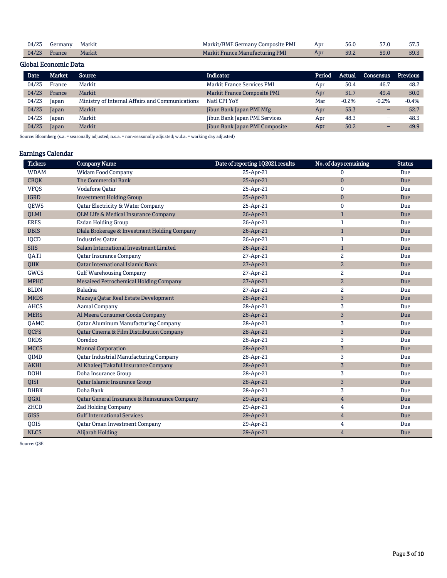| 04/23 Germany Markit |        | Markit/BME Germany Composite PMI Apr    | 56.0 | 57.0 | 57.3 |
|----------------------|--------|-----------------------------------------|------|------|------|
| $04/23$ France       | Markit | Markit France Manufacturing PMI<br>Appr | 59.2 | 59.0 | 59.3 |

## Global Economic Data

| <b>Date</b> | Market | <b>Source</b>                                   | <b>Indicator</b>                  | Period | Actual  | <b>Consensus</b>         | <b>Previous</b> |
|-------------|--------|-------------------------------------------------|-----------------------------------|--------|---------|--------------------------|-----------------|
| 04/23       | France | Markit                                          | <b>Markit France Services PMI</b> | Apr    | 50.4    | 46.7                     | 48.2            |
| 04/23       | France | Markit                                          | Markit France Composite PMI       | Apr    | 51.7    | 49.4                     | 50.0            |
| 04/23       | Japan  | Ministry of Internal Affairs and Communications | Natl CPI YoY                      | Mar    | $-0.2%$ | $-0.2%$                  | $-0.4%$         |
| 04/23       | Japan  | Markit                                          | Jibun Bank Japan PMI Mfg          | Apr    | 53.3    | -                        | 52.7            |
| 04/23       | Japan  | Markit                                          | Jibun Bank Japan PMI Services     | Apr    | 48.3    | -                        | 48.3            |
| 04/23       | Japan  | Markit                                          | Jibun Bank Japan PMI Composite    | Apr    | 50.2    | $\overline{\phantom{0}}$ | 49.9            |

Source: Bloomberg (s.a. = seasonally adjusted; n.s.a. = non-seasonally adjusted; w.d.a. = working day adjusted)

## Earnings Calendar

| <b>Tickers</b> | <b>Company Name</b>                           | Date of reporting 1Q2021 results | No. of days remaining | <b>Status</b> |
|----------------|-----------------------------------------------|----------------------------------|-----------------------|---------------|
| <b>WDAM</b>    | <b>Widam Food Company</b>                     | 25-Apr-21                        | $\mathbf 0$           | Due           |
| <b>CBQK</b>    | The Commercial Bank                           | 25-Apr-21                        | $\mathbf{0}$          | Due           |
| <b>VFQS</b>    | Vodafone Qatar                                | 25-Apr-21                        | $\mathbf 0$           | Due           |
| <b>IGRD</b>    | <b>Investment Holding Group</b>               | 25-Apr-21                        | $\mathbf{0}$          | Due           |
| <b>OEWS</b>    | Qatar Electricity & Water Company             | 25-Apr-21                        | $\mathbf 0$           | Due           |
| <b>OLMI</b>    | QLM Life & Medical Insurance Company          | 26-Apr-21                        | $\mathbf{1}$          | Due           |
| <b>ERES</b>    | <b>Ezdan Holding Group</b>                    | 26-Apr-21                        | $\mathbf{1}$          | Due           |
| <b>DBIS</b>    | Dlala Brokerage & Investment Holding Company  | 26-Apr-21                        | $\mathbf{1}$          | Due           |
| IQCD           | <b>Industries Qatar</b>                       | 26-Apr-21                        | $\mathbf{1}$          | <b>Due</b>    |
| <b>SIIS</b>    | Salam International Investment Limited        | 26-Apr-21                        | $\mathbf{1}$          | Due           |
| QATI           | <b>Qatar Insurance Company</b>                | 27-Apr-21                        | $\mathbf{2}$          | Due           |
| <b>OIIK</b>    | <b>Oatar International Islamic Bank</b>       | 27-Apr-21                        | $\overline{2}$        | Due           |
| <b>GWCS</b>    | <b>Gulf Warehousing Company</b>               | 27-Apr-21                        | $\overline{2}$        | Due           |
| <b>MPHC</b>    | Mesaieed Petrochemical Holding Company        | 27-Apr-21                        | $\overline{2}$        | Due           |
| <b>BLDN</b>    | Baladna                                       | 27-Apr-21                        | $\overline{2}$        | Due           |
| <b>MRDS</b>    | Mazaya Qatar Real Estate Development          | 28-Apr-21                        | $\overline{3}$        | Due           |
| <b>AHCS</b>    | <b>Aamal Company</b>                          | 28-Apr-21                        | 3                     | Due           |
| <b>MERS</b>    | Al Meera Consumer Goods Company               | 28-Apr-21                        | $\overline{3}$        | Due           |
| <b>OAMC</b>    | <b>Qatar Aluminum Manufacturing Company</b>   | 28-Apr-21                        | 3                     | Due           |
| <b>OCFS</b>    | Qatar Cinema & Film Distribution Company      | 28-Apr-21                        | $\overline{3}$        | Due           |
| <b>ORDS</b>    | Ooredoo                                       | 28-Apr-21                        | 3                     | Due           |
| <b>MCCS</b>    | Mannai Corporation                            | 28-Apr-21                        | $\overline{3}$        | Due           |
| QIMD           | <b>Qatar Industrial Manufacturing Company</b> | 28-Apr-21                        | 3                     | Due           |
| <b>AKHI</b>    | Al Khaleej Takaful Insurance Company          | 28-Apr-21                        | $\overline{3}$        | Due           |
| <b>DOHI</b>    | Doha Insurance Group                          | 28-Apr-21                        | 3                     | Due           |
| QISI           | Qatar Islamic Insurance Group                 | 28-Apr-21                        | $\sqrt{3}$            | Due           |
| <b>DHBK</b>    | Doha Bank                                     | 28-Apr-21                        | 3                     | Due           |
| QGRI           | Qatar General Insurance & Reinsurance Company | 29-Apr-21                        | $\overline{4}$        | Due           |
| ZHCD           | <b>Zad Holding Company</b>                    | 29-Apr-21                        | 4                     | Due           |
| <b>GISS</b>    | <b>Gulf International Services</b>            | 29-Apr-21                        | $\overline{4}$        | <b>Due</b>    |
| QOIS           | <b>Qatar Oman Investment Company</b>          | 29-Apr-21                        | 4                     | Due           |
| <b>NLCS</b>    | Alijarah Holding                              | 29-Apr-21                        | 4                     | Due           |

Source: QSE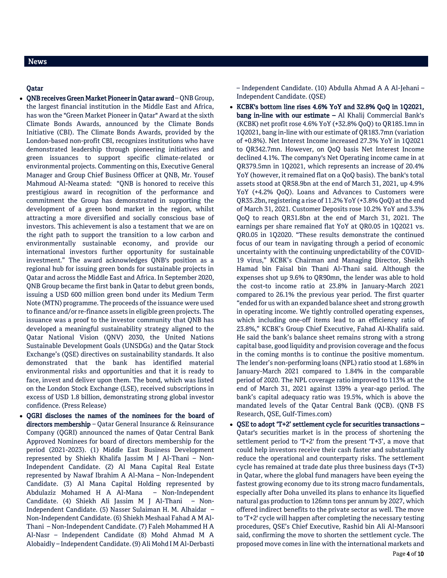## News

## Qatar

- QNB receives Green Market Pioneer in Qatar award QNB Group, the largest financial institution in the Middle East and Africa, has won the "Green Market Pioneer in Qatar" Award at the sixth Climate Bonds Awards, announced by the Climate Bonds Initiative (CBI). The Climate Bonds Awards, provided by the London-based non-profit CBI, recognizes institutions who have demonstrated leadership through pioneering initiatives and green issuances to support specific climate-related or environmental projects. Commenting on this, Executive General Manager and Group Chief Business Officer at QNB, Mr. Yousef Mahmoud Al-Neama stated: "QNB is honored to receive this prestigious award in recognition of the performance and commitment the Group has demonstrated in supporting the development of a green bond market in the region, whilst attracting a more diversified and socially conscious base of investors. This achievement is also a testament that we are on the right path to support the transition to a low carbon and environmentally sustainable economy, and provide our international investors further opportunity for sustainable investment." The award acknowledges QNB's position as a regional hub for issuing green bonds for sustainable projects in Qatar and across the Middle East and Africa. In September 2020, QNB Group became the first bank in Qatar to debut green bonds, issuing a USD 600 million green bond under its Medium Term Note (MTN) programme. The proceeds of the issuance were used to finance and/or re-finance assets in eligible green projects. The issuance was a proof to the investor community that QNB has developed a meaningful sustainability strategy aligned to the Qatar National Vision (QNV) 2030, the United Nations Sustainable Development Goals (UNSDGs) and the Qatar Stock Exchange's (QSE) directives on sustainability standards. It also demonstrated that the bank has identified material environmental risks and opportunities and that it is ready to face, invest and deliver upon them. The bond, which was listed on the London Stock Exchange (LSE), received subscriptions in excess of USD 1.8 billion, demonstrating strong global investor confidence. (Press Release)
- QGRI discloses the names of the nominees for the board of directors membership – Qatar General Insurance & Reinsurance Company (QGRI) announced the names of Qatar Central Bank Approved Nominees for board of directors membership for the period (2021-2023). (1) Middle East Business Development represented by Shiekh Khalifa Jassim M J Al-Thani – Non-Independent Candidate. (2) Al Mana Capital Real Estate represented by Nawaf Ibrahim A Al-Mana – Non-Independent Candidate. (3) Al Mana Capital Holding represented by Abdulaziz Mohamed H A Al-Mana – Non-Independent Candidate. (4) Shiekh Ali Jassim M J Al-Thani – Non-Independent Candidate. (5) Nasser Sulaiman H. M. Alhaidar – Non-Independent Candidate. (6) Shiekh Meshaal Fahad A M Al-Thani – Non-Independent Candidate. (7) Faleh Mohammed H A Al-Nasr – Independent Candidate (8) Mohd Ahmad M A Alobaidly – Independent Candidate. (9) Ali Mohd I M Al-Derbasti

– Independent Candidate. (10) Abdulla Ahmad A A Al-Jehani – Independent Candidate. (QSE)

- KCBK's bottom line rises 4.6% YoY and 32.8% QoQ in 1Q2021,  $bang$  in-line with our estimate  $-$  Al Khalij Commercial Bank's (KCBK) net profit rose 4.6% YoY (+32.8% QoQ) to QR185.1mn in 1Q2021, bang in-line with our estimate of QR183.7mn (variation of +0.8%). Net Interest Income increased 27.3% YoY in 1Q2021 to QR342.7mn. However, on QoQ basis Net Interest Income declined 4.1%. The company's Net Operating income came in at QR379.5mn in 1Q2021, which represents an increase of 20.4% YoY (however, it remained flat on a QoQ basis). The bank's total assets stood at QR58.9bn at the end of March 31, 2021, up 4.9% YoY (+4.2% QoQ). Loans and Advances to Customers were QR35.2bn, registering a rise of 11.2% YoY (+3.8% QoQ) at the end of March 31, 2021. Customer Deposits rose 10.2% YoY and 3.3% QoQ to reach QR31.8bn at the end of March 31, 2021. The earnings per share remained flat YoY at QR0.05 in 1Q2021 vs. QR0.05 in 1Q2020. "These results demonstrate the continued focus of our team in navigating through a period of economic uncertainty with the continuing unpredictability of the COVID-19 virus," KCBK's Chairman and Managing Director, Sheikh Hamad bin Faisal bin Thani Al-Thani said. Although the expenses shot up 9.6% to QR90mn, the lender was able to hold the cost-to income ratio at 23.8% in January-March 2021 compared to 26.1% the previous year period. The first quarter "ended for us with an expanded balance sheet and strong growth in operating income. We tightly controlled operating expenses, which including one-off items lead to an efficiency ratio of 23.8%," KCBK's Group Chief Executive, Fahad Al-Khalifa said. He said the bank's balance sheet remains strong with a strong capital base, good liquidity and provision coverage and the focus in the coming months is to continue the positive momentum. The lender's non-performing loans (NPL) ratio stood at 1.68% in January-March 2021 compared to 1.84% in the comparable period of 2020. The NPL coverage ratio improved to 113% at the end of March 31, 2021 against 139% a year-ago period. The bank's capital adequacy ratio was 19.5%, which is above the mandated levels of the Qatar Central Bank (QCB). (QNB FS Research, QSE, Gulf-Times.com)
- QSE to adopt 'T+2' settlement cycle for securities transactions Qatar's securities market is in the process of shortening the settlement period to 'T+2' from the present 'T+3', a move that could help investors receive their cash faster and substantially reduce the operational and counterparty risks. The settlement cycle has remained at trade date plus three business days (T+3) in Qatar, where the global fund managers have been eyeing the fastest growing economy due to its strong macro fundamentals, especially after Doha unveiled its plans to enhance its liquefied natural gas production to 126mn tons per annum by 2027, which offered indirect benefits to the private sector as well. The move to 'T+2' cycle will happen after completing the necessary testing procedures, QSE's Chief Executive, Rashid bin Ali Al-Mansoori said, confirming the move to shorten the settlement cycle. The proposed move comes in line with the international markets and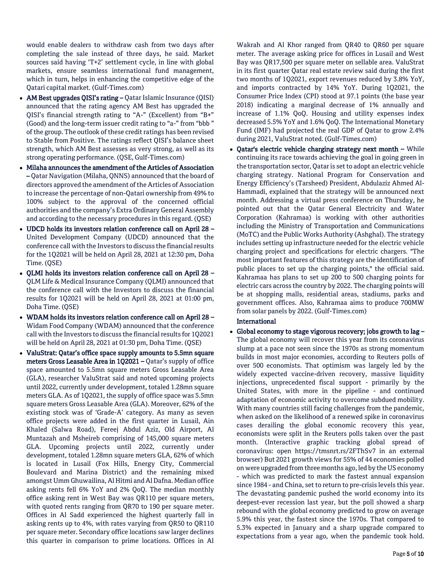would enable dealers to withdraw cash from two days after completing the sale instead of three days, he said. Market sources said having 'T+2' settlement cycle, in line with global markets, ensure seamless international fund management, which in turn, helps in enhancing the competitive edge of the Qatari capital market. (Gulf-Times.com)

- AM Best upgrades QISI's rating Qatar Islamic Insurance (QISI) announced that the rating agency AM Best has upgraded the QISI's financial strength rating to "A-" (Excellent) from "B+" (Good) and the long-term issuer credit rating to "a-" from "bbb " of the group. The outlook of these credit ratings has been revised to Stable from Positive. The ratings reflect QISI's balance sheet strength, which AM Best assesses as very strong, as well as its strong operating performance. (QSE, Gulf-Times.com)
- Milaha announces the amendment of the Articles of Association – Qatar Navigation (Milaha, QNNS) announced that the board of directors approved the amendment of the Articles of Association to increase the percentage of non-Qatari ownership from 49% to 100% subject to the approval of the concerned official authorities and the company's Extra Ordinary General Assembly and according to the necessary procedures in this regard. (QSE)
- UDCD holds its investors relation conference call on April 28 United Development Company (UDCD) announced that the conference call with the Investors to discuss the financial results for the 1Q2021 will be held on April 28, 2021 at 12:30 pm, Doha Time. (QSE)
- QLMI holds its investors relation conference call on April 28 QLM Life & Medical Insurance Company (QLMI) announced that the conference call with the Investors to discuss the financial results for 1Q2021 will be held on April 28, 2021 at 01:00 pm, Doha Time. (QSE)
- WDAM holds its investors relation conference call on April 28 Widam Food Company (WDAM) announced that the conference call with the Investors to discuss the financial results for 1Q2021 will be held on April 28, 2021 at 01:30 pm, Doha Time. (QSE)
- ValuStrat: Qatar's office space supply amounts to 5.5mn square meters Gross Leasable Area in 1Q2021 – Qatar's supply of office space amounted to 5.5mn square meters Gross Leasable Area (GLA), researcher ValuStrat said and noted upcoming projects until 2022, currently under development, totaled 1.28mn square meters GLA. As of 1Q2021, the supply of office space was 5.5mn square meters Gross Leasable Area (GLA). Moreover, 62% of the existing stock was of 'Grade-A' category. As many as seven office projects were added in the first quarter in Lusail, Ain Khaled (Salwa Road), Fereej Abdul Aziz, Old Airport, Al Muntazah and Msheireb comprising of 145,000 square meters GLA. Upcoming projects until 2022, currently under development, totaled 1.28mn square meters GLA, 62% of which is located in Lusail (Fox Hills, Energy City, Commercial Boulevard and Marina District) and the remaining mixed amongst Umm Ghuwailina, Al Hitmi and Al Dafna. Median office asking rents fell 6% YoY and 2% QoQ. The median monthly office asking rent in West Bay was QR110 per square meters, with quoted rents ranging from QR70 to 190 per square meter. Offices in Al Sadd experienced the highest quarterly fall in asking rents up to 4%, with rates varying from QR50 to QR110 per square meter. Secondary office locations saw larger declines this quarter in comparison to prime locations. Offices in Al

Wakrah and Al Khor ranged from QR40 to QR60 per square meter. The average asking price for offices in Lusail and West Bay was QR17,500 per square meter on sellable area. ValuStrat in its first quarter Qatar real estate review said during the first two months of 1Q2021, export revenues reduced by 3.8% YoY, and imports contracted by 14% YoY. During 1Q2021, the Consumer Price Index (CPI) stood at 97.1 points (the base year 2018) indicating a marginal decrease of 1% annually and increase of 1.1% QoQ. Housing and utility expenses index decreased 5.5% YoY and 1.6% QoQ. The International Monetary Fund (IMF) had projected the real GDP of Qatar to grow 2.4% during 2021, ValuStrat noted. (Gulf-Times.com)

 Qatar's electric vehicle charging strategy next month – While continuing its race towards achieving the goal in going green in the transportation sector, Qatar is set to adopt an electric vehicle charging strategy. National Program for Conservation and Energy Efficiency's (Tarsheed) President, Abdulaziz Ahmed Al-Hammadi, explained that the strategy will be announced next month. Addressing a virtual press conference on Thursday, he pointed out that the Qatar General Electricity and Water Corporation (Kahramaa) is working with other authorities including the Ministry of Transportation and Communications (MoTC) and the Public Works Authority (Ashghal). The strategy includes setting up infrastructure needed for the electric vehicle charging project and specifications for electric chargers. "The most important features of this strategy are the identification of public places to set up the charging points," the official said. Kahramaa has plans to set up 200 to 500 charging points for electric cars across the country by 2022. The charging points will be at shopping malls, residential areas, stadiums, parks and government offices. Also, Kahramaa aims to produce 700MW from solar panels by 2022. (Gulf-Times.com)

## International

Global economy to stage vigorous recovery; jobs growth to  $\log -$ The global economy will recover this year from its coronavirus slump at a pace not seen since the 1970s as strong momentum builds in most major economies, according to Reuters polls of over 500 economists. That optimism was largely led by the widely expected vaccine-driven recovery, massive liquidity injections, unprecedented fiscal support - primarily by the United States, with more in the pipeline - and continued adaptation of economic activity to overcome subdued mobility. With many countries still facing challenges from the pandemic, when asked on the likelihood of a renewed spike in coronavirus cases derailing the global economic recovery this year, economists were split in the Reuters polls taken over the past month. (Interactive graphic tracking global spread of coronavirus: open https://tmsnrt.rs/2FThSv7 in an external browser) But 2021 growth views for 55% of 44 economies polled on were upgraded from three months ago, led by the US economy - which was predicted to mark the fastest annual expansion since 1984 - and China, set to return to pre-crisis levels this year. The devastating pandemic pushed the world economy into its deepest-ever recession last year, but the poll showed a sharp rebound with the global economy predicted to grow on average 5.9% this year, the fastest since the 1970s. That compared to 5.3% expected in January and a sharp upgrade compared to expectations from a year ago, when the pandemic took hold.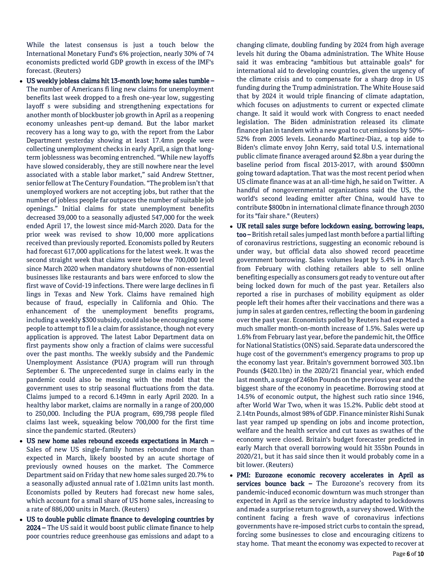While the latest consensus is just a touch below the International Monetary Fund's 6% projection, nearly 30% of 74 economists predicted world GDP growth in excess of the IMF's forecast. (Reuters)

 US weekly jobless claims hit 13-month low; home sales tumble – The number of Americans fi ling new claims for unemployment benefits last week dropped to a fresh one-year low, suggesting layoff s were subsiding and strengthening expectations for another month of blockbuster job growth in April as a reopening economy unleashes pent-up demand. But the labor market recovery has a long way to go, with the report from the Labor Department yesterday showing at least 17.4mn people were collecting unemployment checks in early April, a sign that longterm joblessness was becoming entrenched. "While new layoffs have slowed considerably, they are still nowhere near the level associated with a stable labor market," said Andrew Stettner, senior fellow at The Century Foundation. "The problem isn't that unemployed workers are not accepting jobs, but rather that the number of jobless people far outpaces the number of suitable job openings." Initial claims for state unemployment benefits decreased 39,000 to a seasonally adjusted 547,000 for the week ended April 17, the lowest since mid-March 2020. Data for the prior week was revised to show 10,000 more applications received than previously reported. Economists polled by Reuters had forecast 617,000 applications for the latest week. It was the second straight week that claims were below the 700,000 level since March 2020 when mandatory shutdowns of non-essential businesses like restaurants and bars were enforced to slow the first wave of Covid-19 infections. There were large declines in fi lings in Texas and New York. Claims have remained high because of fraud, especially in California and Ohio. The enhancement of the unemployment benefits programs, including a weekly \$300 subsidy, could also be encouraging some people to attempt to fi le a claim for assistance, though not every application is approved. The latest Labor Department data on first payments show only a fraction of claims were successful over the past months. The weekly subsidy and the Pandemic Unemployment Assistance (PUA) program will run through September 6. The unprecedented surge in claims early in the pandemic could also be messing with the model that the government uses to strip seasonal fluctuations from the data. Claims jumped to a record 6.149mn in early April 2020. In a healthy labor market, claims are normally in a range of 200,000 to 250,000. Including the PUA program, 699,798 people filed claims last week, squeaking below 700,000 for the first time since the pandemic started. (Reuters)

- US new home sales rebound exceeds expectations in March Sales of new US single-family homes rebounded more than expected in March, likely boosted by an acute shortage of previously owned houses on the market. The Commerce Department said on Friday that new home sales surged 20.7% to a seasonally adjusted annual rate of 1.021mn units last month. Economists polled by Reuters had forecast new home sales, which account for a small share of US home sales, increasing to a rate of 886,000 units in March. (Reuters)
- US to double public climate finance to developing countries by 2024 – The US said it would boost public climate finance to help poor countries reduce greenhouse gas emissions and adapt to a

changing climate, doubling funding by 2024 from high average levels hit during the Obama administration. The White House said it was embracing "ambitious but attainable goals" for international aid to developing countries, given the urgency of the climate crisis and to compensate for a sharp drop in US funding during the Trump administration. The White House said that by 2024 it would triple financing of climate adaptation, which focuses on adjustments to current or expected climate change. It said it would work with Congress to enact needed legislation. The Biden administration released its climate finance plan in tandem with a new goal to cut emissions by 50%- 52% from 2005 levels. Leonardo Martinez-Diaz, a top aide to Biden's climate envoy John Kerry, said total U.S. international public climate finance averaged around \$2.8bn a year during the baseline period from fiscal 2013-2017, with around \$500mn going toward adaptation. That was the most recent period when US climate finance was at an all-time high, he said on Twitter. A handful of nongovernmental organizations said the US, the world's second leading emitter after China, would have to contribute \$800bn in international climate finance through 2030 for its "fair share." (Reuters)

- UK retail sales surge before lockdown easing, borrowing leaps, too – British retail sales jumped last month before a partial lifting of coronavirus restrictions, suggesting an economic rebound is under way, but official data also showed record peacetime government borrowing. Sales volumes leapt by 5.4% in March from February with clothing retailers able to sell online benefiting especially as consumers got ready to venture out after being locked down for much of the past year. Retailers also reported a rise in purchases of mobility equipment as older people left their homes after their vaccinations and there was a jump in sales at garden centres, reflecting the boom in gardening over the past year. Economists polled by Reuters had expected a much smaller month-on-month increase of 1.5%. Sales were up 1.6% from February last year, before the pandemic hit, the Office for National Statistics (ONS) said. Separate data underscored the huge cost of the government's emergency programs to prop up the economy last year. Britain's government borrowed 303.1bn Pounds (\$420.1bn) in the 2020/21 financial year, which ended last month, a surge of 246bn Pounds on the previous year and the biggest share of the economy in peacetime. Borrowing stood at 14.5% of economic output, the highest such ratio since 1946, after World War Two, when it was 15.2%. Public debt stood at 2.14tn Pounds, almost 98% of GDP. Finance minister Rishi Sunak last year ramped up spending on jobs and income protection, welfare and the health service and cut taxes as swathes of the economy were closed. Britain's budget forecaster predicted in early March that overall borrowing would hit 355bn Pounds in 2020/21, but it has said since then it would probably come in a bit lower. (Reuters)
- PMI: Eurozone economic recovery accelerates in April as services bounce back - The Eurozone's recovery from its pandemic-induced economic downturn was much stronger than expected in April as the service industry adapted to lockdowns and made a surprise return to growth, a survey showed. With the continent facing a fresh wave of coronavirus infections governments have re-imposed strict curbs to contain the spread, forcing some businesses to close and encouraging citizens to stay home. That meant the economy was expected to recover at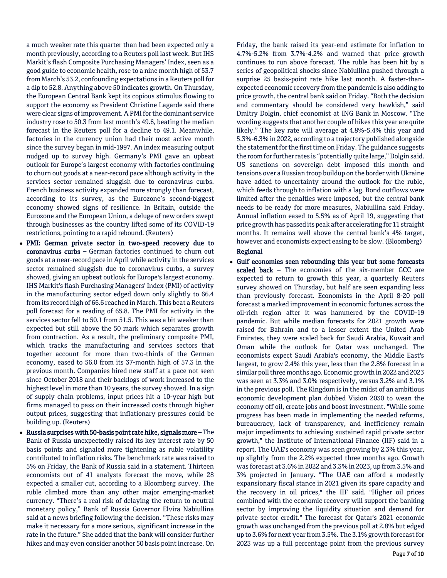a much weaker rate this quarter than had been expected only a month previously, according to a Reuters poll last week. But IHS Markit's flash Composite Purchasing Managers' Index, seen as a good guide to economic health, rose to a nine month high of 53.7 from March's 53.2, confounding expectations in a Reuters poll for a dip to 52.8. Anything above 50 indicates growth. On Thursday, the European Central Bank kept its copious stimulus flowing to support the economy as President Christine Lagarde said there were clear signs of improvement. A PMI for the dominant service industry rose to 50.3 from last month's 49.6, beating the median forecast in the Reuters poll for a decline to 49.1. Meanwhile, factories in the currency union had their most active month since the survey began in mid-1997. An index measuring output nudged up to survey high. Germany's PMI gave an upbeat outlook for Europe's largest economy with factories continuing to churn out goods at a near-record pace although activity in the services sector remained sluggish due to coronavirus curbs. French business activity expanded more strongly than forecast, according to its survey, as the Eurozone's second-biggest economy showed signs of resilience. In Britain, outside the Eurozone and the European Union, a deluge of new orders swept through businesses as the country lifted some of its COVID-19 restrictions, pointing to a rapid rebound. (Reuters)

- PMI: German private sector in two-speed recovery due to coronavirus curbs – German factories continued to churn out goods at a near-record pace in April while activity in the services sector remained sluggish due to coronavirus curbs, a survey showed, giving an upbeat outlook for Europe's largest economy. IHS Markit's flash Purchasing Managers' Index (PMI) of activity in the manufacturing sector edged down only slightly to 66.4 from its record high of 66.6 reached in March. This beat a Reuters poll forecast for a reading of 65.8. The PMI for activity in the services sector fell to 50.1 from 51.5. This was a bit weaker than expected but still above the 50 mark which separates growth from contraction. As a result, the preliminary composite PMI, which tracks the manufacturing and services sectors that together account for more than two-thirds of the German economy, eased to 56.0 from its 37-month high of 57.3 in the previous month. Companies hired new staff at a pace not seen since October 2018 and their backlogs of work increased to the highest level in more than 10 years, the survey showed. In a sign of supply chain problems, input prices hit a 10-year high but firms managed to pass on their increased costs through higher output prices, suggesting that inflationary pressures could be building up. (Reuters)
- Russia surprises with 50-basis point rate hike, signals more The Bank of Russia unexpectedly raised its key interest rate by 50 basis points and signaled more tightening as ruble volatility contributed to inflation risks. The benchmark rate was raised to 5% on Friday, the Bank of Russia said in a statement. Thirteen economists out of 41 analysts forecast the move, while 28 expected a smaller cut, according to a Bloomberg survey. The ruble climbed more than any other major emerging-market currency. "There's a real risk of delaying the return to neutral monetary policy," Bank of Russia Governor Elvira Nabiullina said at a news briefing following the decision. "These risks may make it necessary for a more serious, significant increase in the rate in the future." She added that the bank will consider further hikes and may even consider another 50 basis point increase. On

Friday, the bank raised its year-end estimate for inflation to 4.7%-5.2% from 3.7%-4.2% and warned that price growth continues to run above forecast. The ruble has been hit by a series of geopolitical shocks since Nabiullina pushed through a surprise 25 basis-point rate hike last month. A faster-thanexpected economic recovery from the pandemic is also adding to price growth, the central bank said on Friday. "Both the decision and commentary should be considered very hawkish," said Dmitry Dolgin, chief economist at ING Bank in Moscow. "The wording suggests that another couple of hikes this year are quite likely." The key rate will average at 4.8%-5.4% this year and 5.3%-6.3% in 2022, according to a trajectory published alongside the statement for the first time on Friday. The guidance suggests the room for further rates is "potentially quite large," Dolgin said. US sanctions on sovereign debt imposed this month and tensions over a Russian troop buildup on the border with Ukraine have added to uncertainty around the outlook for the ruble, which feeds through to inflation with a lag. Bond outflows were limited after the penalties were imposed, but the central bank needs to be ready for more measures, Nabiullina said Friday. Annual inflation eased to 5.5% as of April 19, suggesting that price growth has passed its peak after accelerating for 11 straight months. It remains well above the central bank's 4% target, however and economists expect easing to be slow. (Bloomberg) Regional

 Gulf economies seen rebounding this year but some forecasts scaled back - The economies of the six-member GCC are expected to return to growth this year, a quarterly Reuters survey showed on Thursday, but half are seen expanding less than previously forecast. Economists in the April 8-20 poll forecast a marked improvement in economic fortunes across the oil-rich region after it was hammered by the COVID-19 pandemic. But while median forecasts for 2021 growth were raised for Bahrain and to a lesser extent the United Arab Emirates, they were scaled back for Saudi Arabia, Kuwait and Oman while the outlook for Qatar was unchanged. The economists expect Saudi Arabia's economy, the Middle East's largest, to grow 2.4% this year, less than the 2.8% forecast in a similar poll three months ago. Economic growth in 2022 and 2023 was seen at 3.3% and 3.0% respectively, versus 3.2% and 3.1% in the previous poll. The Kingdom is in the midst of an ambitious economic development plan dubbed Vision 2030 to wean the economy off oil, create jobs and boost investment. "While some progress has been made in implementing the needed reforms, bureaucracy, lack of transparency, and inefficiency remain major impediments to achieving sustained rapid private sector growth," the Institute of International Finance (IIF) said in a report. The UAE's economy was seen growing by 2.3% this year, up slightly from the 2.2% expected three months ago. Growth was forecast at 3.6% in 2022 and 3.3% in 2023, up from 3.5% and 3% projected in January. "The UAE can afford a modestly expansionary fiscal stance in 2021 given its spare capacity and the recovery in oil prices," the IIF said. "Higher oil prices combined with the economic recovery will support the banking sector by improving the liquidity situation and demand for private sector credit." The forecast for Qatar's 2021 economic growth was unchanged from the previous poll at 2.8% but edged up to 3.6% for next year from 3.5%. The 3.1% growth forecast for 2023 was up a full percentage point from the previous survey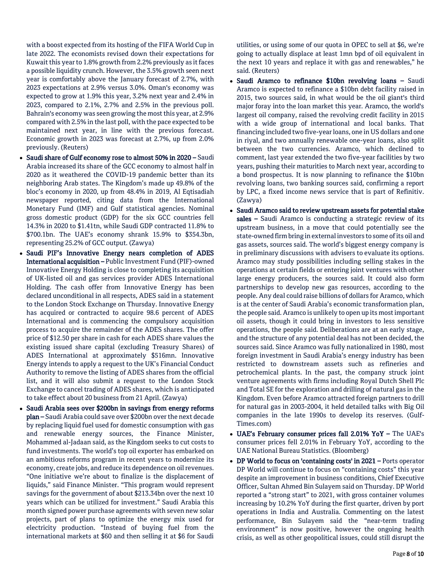with a boost expected from its hosting of the FIFA World Cup in late 2022. The economists revised down their expectations for Kuwait this year to 1.8% growth from 2.2% previously as it faces a possible liquidity crunch. However, the 3.5% growth seen next year is comfortably above the January forecast of 2.7%, with 2023 expectations at 2.9% versus 3.0%. Oman's economy was expected to grow at 1.9% this year, 3.2% next year and 2.4% in 2023, compared to 2.1%, 2.7% and 2.5% in the previous poll. Bahrain's economy was seen growing the most this year, at 2.9% compared with 2.5% in the last poll, with the pace expected to be maintained next year, in line with the previous forecast. Economic growth in 2023 was forecast at 2.7%, up from 2.0% previously. (Reuters)

- Saudi share of Gulf economy rose to almost 50% in 2020 Saudi Arabia increased its share of the GCC economy to almost half in 2020 as it weathered the COVID-19 pandemic better than its neighboring Arab states. The Kingdom's made up 49.8% of the bloc's economy in 2020, up from 48.4% in 2019, Al Eqtisadiah newspaper reported, citing data from the International Monetary Fund (IMF) and Gulf statistical agencies. Nominal gross domestic product (GDP) for the six GCC countries fell 14.3% in 2020 to \$1.41tn, while Saudi GDP contracted 11.8% to \$700.1bn. The UAE's economy shrank 15.9% to \$354.3bn, representing 25.2% of GCC output. (Zawya)
- Saudi PIF's Innovative Energy nears completion of ADES International acquisition – Public Investment Fund (PIF)-owned Innovative Energy Holding is close to completing its acquisition of UK-listed oil and gas services provider ADES International Holding. The cash offer from Innovative Energy has been declared unconditional in all respects, ADES said in a statement to the London Stock Exchange on Thursday. Innovative Energy has acquired or contracted to acquire 98.6 percent of ADES International and is commencing the compulsory acquisition process to acquire the remainder of the ADES shares. The offer price of \$12.50 per share in cash for each ADES share values the existing issued share capital (excluding Treasury Shares) of ADES International at approximately \$516mn. Innovative Energy intends to apply a request to the UK's Financial Conduct Authority to remove the listing of ADES shares from the official list, and it will also submit a request to the London Stock Exchange to cancel trading of ADES shares, which is anticipated to take effect about 20 business from 21 April. (Zawya)
- Saudi Arabia sees over \$200bn in savings from energy reforms plan – Saudi Arabia could save over \$200bn over the next decade by replacing liquid fuel used for domestic consumption with gas and renewable energy sources, the Finance Minister, Mohammed al-Jadaan said, as the Kingdom seeks to cut costs to fund investments. The world's top oil exporter has embarked on an ambitious reforms program in recent years to modernize its economy, create jobs, and reduce its dependence on oil revenues. "One initiative we're about to finalize is the displacement of liquids," said Finance Minister. "This program would represent savings for the government of about \$213.34bn over the next 10 years which can be utilized for investment." Saudi Arabia this month signed power purchase agreements with seven new solar projects, part of plans to optimize the energy mix used for electricity production. "Instead of buying fuel from the international markets at \$60 and then selling it at \$6 for Saudi

utilities, or using some of our quota in OPEC to sell at \$6, we're going to actually displace at least 1mn bpd of oil equivalent in the next 10 years and replace it with gas and renewables," he said. (Reuters)

- Saudi Aramco to refinance \$10bn revolving loans Saudi Aramco is expected to refinance a \$10bn debt facility raised in 2015, two sources said, in what would be the oil giant's third major foray into the loan market this year. Aramco, the world's largest oil company, raised the revolving credit facility in 2015 with a wide group of international and local banks. That financing included two five-year loans, one in US dollars and one in riyal, and two annually renewable one-year loans, also split between the two currencies. Aramco, which declined to comment, last year extended the two five-year facilities by two years, pushing their maturities to March next year, according to a bond prospectus. It is now planning to refinance the \$10bn revolving loans, two banking sources said, confirming a report by LPC, a fixed income news service that is part of Refinitiv. (Zawya)
- Saudi Aramco said to review upstream assets for potential stake sales - Saudi Aramco is conducting a strategic review of its upstream business, in a move that could potentially see the state-owned firm bring in external investors to some of its oil and gas assets, sources said. The world's biggest energy company is in preliminary discussions with advisers to evaluate its options. Aramco may study possibilities including selling stakes in the operations at certain fields or entering joint ventures with other large energy producers, the sources said. It could also form partnerships to develop new gas resources, according to the people. Any deal could raise billions of dollars for Aramco, which is at the center of Saudi Arabia's economic transformation plan, the people said. Aramco is unlikely to open up its most important oil assets, though it could bring in investors to less sensitive operations, the people said. Deliberations are at an early stage, and the structure of any potential deal has not been decided, the sources said. Since Aramco was fully nationalized in 1980, most foreign investment in Saudi Arabia's energy industry has been restricted to downstream assets such as refineries and petrochemical plants. In the past, the company struck joint venture agreements with firms including Royal Dutch Shell Plc and Total SE for the exploration and drilling of natural gas in the Kingdom. Even before Aramco attracted foreign partners to drill for natural gas in 2003-2004, it held detailed talks with Big Oil companies in the late 1990s to develop its reserves. (Gulf-Times.com)
- UAE's February consumer prices fall 2.01% YoY The UAE's consumer prices fell 2.01% in February YoY, according to the UAE National Bureau Statistics. (Bloomberg)
- DP World to focus on 'containing costs' in 2021 Ports operator DP World will continue to focus on "containing costs" this year despite an improvement in business conditions, Chief Executive Officer, Sultan Ahmed Bin Sulayem said on Thursday. DP World reported a "strong start" to 2021, with gross container volumes increasing by 10.2% YoY during the first quarter, driven by port operations in India and Australia. Commenting on the latest performance, Bin Sulayem said the "near-term trading environment" is now positive, however the ongoing health crisis, as well as other geopolitical issues, could still disrupt the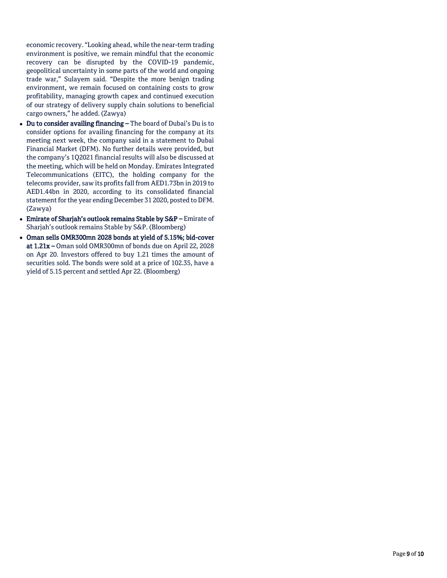economic recovery. "Looking ahead, while the near-term trading environment is positive, we remain mindful that the economic recovery can be disrupted by the COVID-19 pandemic, geopolitical uncertainty in some parts of the world and ongoing trade war," Sulayem said. "Despite the more benign trading environment, we remain focused on containing costs to grow profitability, managing growth capex and continued execution of our strategy of delivery supply chain solutions to beneficial cargo owners," he added. (Zawya)

- Du to consider availing financing The board of Dubai's Du is to consider options for availing financing for the company at its meeting next week, the company said in a statement to Dubai Financial Market (DFM). No further details were provided, but the company's 1Q2021 financial results will also be discussed at the meeting, which will be held on Monday. Emirates Integrated Telecommunications (EITC), the holding company for the telecoms provider, saw its profits fall from AED1.73bn in 2019 to AED1.44bn in 2020, according to its consolidated financial statement for the year ending December 31 2020, posted to DFM. (Zawya)
- Emirate of Sharjah's outlook remains Stable by S&P Emirate of Sharjah's outlook remains Stable by S&P. (Bloomberg)
- Oman sells OMR300mn 2028 bonds at yield of 5.15%; bid-cover at 1.21x – Oman sold OMR300mn of bonds due on April 22, 2028 on Apr 20. Investors offered to buy 1.21 times the amount of securities sold. The bonds were sold at a price of 102.35, have a yield of 5.15 percent and settled Apr 22. (Bloomberg)